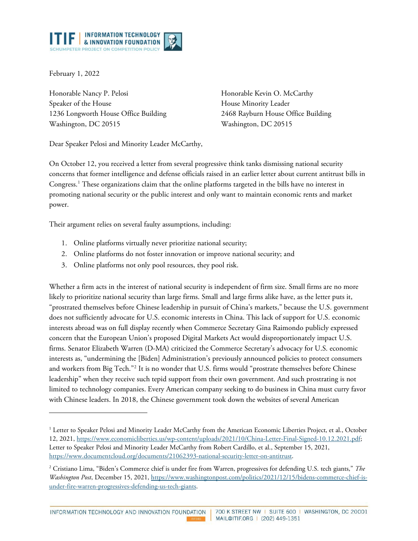

February 1, 2022

Honorable Nancy P. Pelosi Speaker of the House 1236 Longworth House Office Building Washington, DC 20515

Honorable Kevin O. McCarthy House Minority Leader 2468 Rayburn House Office Building Washington, DC 20515

Dear Speaker Pelosi and Minority Leader McCarthy,

On October 12, you received a letter from several progressive think tanks dismissing national security concerns that former intelligence and defense officials raised in an earlier letter about current antitrust bills in Congress.[1](#page-0-0) These organizations claim that the online platforms targeted in the bills have no interest in promoting national security or the public interest and only want to maintain economic rents and market power.

Their argument relies on several faulty assumptions, including:

- 1. Online platforms virtually never prioritize national security;
- 2. Online platforms do not foster innovation or improve national security; and
- 3. Online platforms not only pool resources, they pool risk.

Whether a firm acts in the interest of national security is independent of firm size. Small firms are no more likely to prioritize national security than large firms. Small and large firms alike have, as the letter puts it, "prostrated themselves before Chinese leadership in pursuit of China's markets," because the U.S. government does not sufficiently advocate for U.S. economic interests in China. This lack of support for U.S. economic interests abroad was on full display recently when Commerce Secretary Gina Raimondo publicly expressed concern that the European Union's proposed Digital Markets Act would disproportionately impact U.S. firms. Senator Elizabeth Warren (D-MA) criticized the Commerce Secretary's advocacy for U.S. economic interests as, "undermining the [Biden] Administration's previously announced policies to protect consumers and workers from Big Tech."[2](#page-0-1) It is no wonder that U.S. firms would "prostrate themselves before Chinese leadership" when they receive such tepid support from their own government. And such prostrating is not limited to technology companies. Every American company seeking to do business in China must curry favor with Chinese leaders. In 2018, the Chinese government took down the websites of several American

INFORMATION TECHNOLOGY AND INNOVATION FOUNDATION

<span id="page-0-0"></span><sup>&</sup>lt;sup>1</sup> Letter to Speaker Pelosi and Minority Leader McCarthy from the American Economic Liberties Project, et al., October 12, 2021, [https://www.economicliberties.us/wp-content/uploads/2021/10/China-Letter-Final-Signed-10.12.2021.pdf;](https://www.economicliberties.us/wp-content/uploads/2021/10/China-Letter-Final-Signed-10.12.2021.pdf) Letter to Speaker Pelosi and Minority Leader McCarthy from Robert Cardillo, et al., September 15, 2021, [https://www.documentcloud.org/documents/21062393-national-security-letter-on-antitrust.](https://www.documentcloud.org/documents/21062393-national-security-letter-on-antitrust)

<span id="page-0-1"></span><sup>2</sup> Cristiano Lima, "Biden's Commerce chief is under fire from Warren, progressives for defending U.S. tech giants," *The Washington Post*, December 15, 2021, [https://www.washingtonpost.com/politics/2021/12/15/bidens-commerce-chief-is](https://www.washingtonpost.com/politics/2021/12/15/bidens-commerce-chief-is-under-fire-warren-progressives-defending-us-tech-giants/)[under-fire-warren-progressives-defending-us-tech-giants.](https://www.washingtonpost.com/politics/2021/12/15/bidens-commerce-chief-is-under-fire-warren-progressives-defending-us-tech-giants/)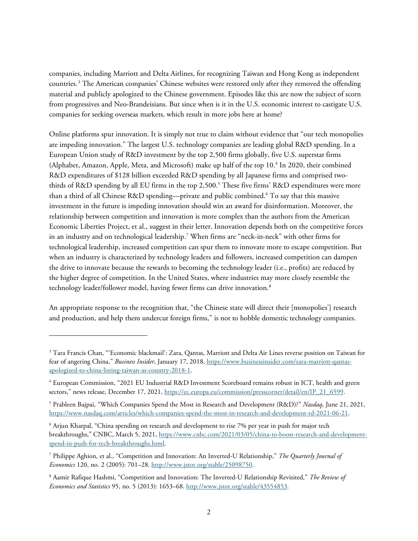companies, including Marriott and Delta Airlines, for recognizing Taiwan and Hong Kong as independent countries.[3](#page-1-0) The American companies' Chinese websites were restored only after they removed the offending material and publicly apologized to the Chinese government. Episodes like this are now the subject of scorn from progressives and Neo-Brandeisians. But since when is it in the U.S. economic interest to castigate U.S. companies for seeking overseas markets, which result in more jobs here at home?

Online platforms spur innovation. It is simply not true to claim without evidence that "our tech monopolies are impeding innovation." The largest U.S. technology companies are leading global R&D spending. In a European Union study of R&D investment by the top 2,500 firms globally, five U.S. superstar firms (Alphabet, Amazon, Apple, Meta, and Microsoft) make up half of the top 10. [4](#page-1-1) In 2020, their combined R&D expenditures of \$128 billion exceeded R&D spending by all Japanese firms and comprised two-thirds of R&D spending by all EU firms in the top 2,[5](#page-1-2)00.<sup>5</sup> These five firms' R&D expenditures were more than a third of all Chinese R&D spending—private and public combined. [6](#page-1-3) To say that this massive investment in the future is impeding innovation should win an award for disinformation. Moreover, the relationship between competition and innovation is more complex than the authors from the American Economic Liberties Project, et al., suggest in their letter. Innovation depends both on the competitive forces in an industry and on technological leadership. [7](#page-1-4) When firms are "neck-in-neck" with other firms for technological leadership, increased competition can spur them to innovate more to escape competition. But when an industry is characterized by technology leaders and followers, increased competition can dampen the drive to innovate because the rewards to becoming the technology leader (i.e., profits) are reduced by the higher degree of competition. In the United States, where industries may more closely resemble the technology leader/follower model, having fewer firms can drive innovation.<sup>[8](#page-1-5)</sup>

An appropriate response to the recognition that, "the Chinese state will direct their [monopolies'] research and production, and help them undercut foreign firms," is not to hobble domestic technology companies.

<span id="page-1-0"></span><sup>&</sup>lt;sup>3</sup> Tara Francis Chan, "'Economic blackmail': Zara, Qantas, Marriott and Delta Air Lines reverse position on Taiwan for fear of angering China," *Business Insider*, January 17, 2018, [https://www.businessinsider.com/zara-marriott-qantas](https://www.businessinsider.com/zara-marriott-qantas-apologized-to-china-listing-taiwan-as-country-2018-1)[apologized-to-china-listing-taiwan-as-country-2018-1.](https://www.businessinsider.com/zara-marriott-qantas-apologized-to-china-listing-taiwan-as-country-2018-1)

<span id="page-1-1"></span><sup>4</sup> European Commission, "2021 EU Industrial R&D Investment Scoreboard remains robust in ICT, health and green sectors," news release, December 17, 2021, [https://ec.europa.eu/commission/presscorner/detail/en/IP\\_21\\_6599.](https://ec.europa.eu/commission/presscorner/detail/en/IP_21_6599)

<span id="page-1-2"></span><sup>5</sup> Prableen Bajpai, "Which Companies Spend the Most in Research and Development (R&D)?" *Nasdaq*, June 21, 2021, [https://www.nasdaq.com/articles/which-companies-spend-the-most-in-research-and-development-rd-2021-06-21.](https://www.nasdaq.com/articles/which-companies-spend-the-most-in-research-and-development-rd-2021-06-21)

<span id="page-1-3"></span><sup>6</sup> Arjun Kharpal, "China spending on research and development to rise 7% per year in push for major tech breakthroughs," CNBC, March 5, 2021, [https://www.cnbc.com/2021/03/05/china-to-boost-research-and-development](https://www.cnbc.com/2021/03/05/china-to-boost-research-and-development-spend-in-push-for-tech-breakthroughs.html)[spend-in-push-for-tech-breakthroughs.html.](https://www.cnbc.com/2021/03/05/china-to-boost-research-and-development-spend-in-push-for-tech-breakthroughs.html)

<span id="page-1-4"></span><sup>7</sup> Philippe Aghion, et al., "Competition and Innovation: An Inverted-U Relationship," *The Quarterly Journal of Economics* 120, no. 2 (2005): 701–28[. http://www.jstor.org/stable/25098750.](http://www.jstor.org/stable/25098750)

<span id="page-1-5"></span><sup>8</sup> Aamir Rafique Hashmi, "Competition and Innovation: The Inverted-U Relationship Revisited," *The Review of Economics and Statistics* 95, no. 5 (2013): 1653–68. [http://www.jstor.org/stable/43554853.](http://www.jstor.org/stable/43554853)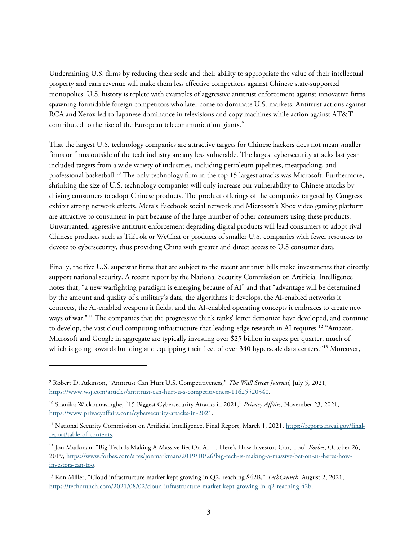Undermining U.S. firms by reducing their scale and their ability to appropriate the value of their intellectual property and earn revenue will make them less effective competitors against Chinese state-supported monopolies. U.S. history is replete with examples of aggressive antitrust enforcement against innovative firms spawning formidable foreign competitors who later come to dominate U.S. markets. Antitrust actions against RCA and Xerox led to Japanese dominance in televisions and copy machines while action against AT&T contributed to the rise of the European telecommunication giants.<sup>[9](#page-2-0)</sup>

That the largest U.S. technology companies are attractive targets for Chinese hackers does not mean smaller firms or firms outside of the tech industry are any less vulnerable. The largest cybersecurity attacks last year included targets from a wide variety of industries, including petroleum pipelines, meatpacking, and professional basketball.<sup>[10](#page-2-1)</sup> The only technology firm in the top 15 largest attacks was Microsoft. Furthermore, shrinking the size of U.S. technology companies will only increase our vulnerability to Chinese attacks by driving consumers to adopt Chinese products. The product offerings of the companies targeted by Congress exhibit strong network effects. Meta's Facebook social network and Microsoft's Xbox video gaming platform are attractive to consumers in part because of the large number of other consumers using these products. Unwarranted, aggressive antitrust enforcement degrading digital products will lead consumers to adopt rival Chinese products such as TikTok or WeChat or products of smaller U.S. companies with fewer resources to devote to cybersecurity, thus providing China with greater and direct access to U.S consumer data.

Finally, the five U.S. superstar firms that are subject to the recent antitrust bills make investments that directly support national security. A recent report by the National Security Commission on Artificial Intelligence notes that, "a new warfighting paradigm is emerging because of AI" and that "advantage will be determined by the amount and quality of a military's data, the algorithms it develops, the AI-enabled networks it connects, the AI-enabled weapons it fields, and the AI-enabled operating concepts it embraces to create new ways of war."[11](#page-2-2) The companies that the progressive think tanks' letter demonize have developed, and continue to develop, the vast cloud computing infrastructure that leading-edge research in AI requires.<sup>[12](#page-2-3)</sup> "Amazon, Microsoft and Google in aggregate are typically investing over \$25 billion in capex per quarter, much of which is going towards building and equipping their fleet of over 340 hyperscale data centers."<sup>[13](#page-2-4)</sup> Moreover,

<span id="page-2-0"></span><sup>9</sup> Robert D. Atkinson, "Antitrust Can Hurt U.S. Competitiveness," *The Wall Street Journal*, July 5, 2021, [https://www.wsj.com/articles/antitrust-can-hurt-u-s-competitiveness-11625520340.](https://www.wsj.com/articles/antitrust-can-hurt-u-s-competitiveness-11625520340)

<span id="page-2-1"></span><sup>10</sup> Shanika Wickramasinghe, "15 Biggest Cybersecurity Attacks in 2021," *Privacy Affairs*, November 23, 2021, [https://www.privacyaffairs.com/cybersecurity-attacks-in-2021.](https://www.privacyaffairs.com/cybersecurity-attacks-in-2021/)

<span id="page-2-2"></span><sup>&</sup>lt;sup>11</sup> National Security Commission on Artificial Intelligence, Final Report, March 1, 2021[, https://reports.nscai.gov/final](https://reports.nscai.gov/final-report/table-of-contents/)[report/table-of-contents.](https://reports.nscai.gov/final-report/table-of-contents/)

<span id="page-2-3"></span><sup>12</sup> Jon Markman, "Big Tech Is Making A Massive Bet On AI … Here's How Investors Can, Too" *Forbes*, October 26, 2019, [https://www.forbes.com/sites/jonmarkman/2019/10/26/big-tech-is-making-a-massive-bet-on-ai--heres-how](https://www.forbes.com/sites/jonmarkman/2019/10/26/big-tech-is-making-a-massive-bet-on-ai--heres-how-investors-can-too/)[investors-can-too.](https://www.forbes.com/sites/jonmarkman/2019/10/26/big-tech-is-making-a-massive-bet-on-ai--heres-how-investors-can-too/)

<span id="page-2-4"></span><sup>13</sup> Ron Miller, "Cloud infrastructure market kept growing in Q2, reaching \$42B," *TechCrunch*, August 2, 2021, [https://techcrunch.com/2021/08/02/cloud-infrastructure-market-kept-growing-in-q2-reaching-42b.](https://techcrunch.com/2021/08/02/cloud-infrastructure-market-kept-growing-in-q2-reaching-42b)